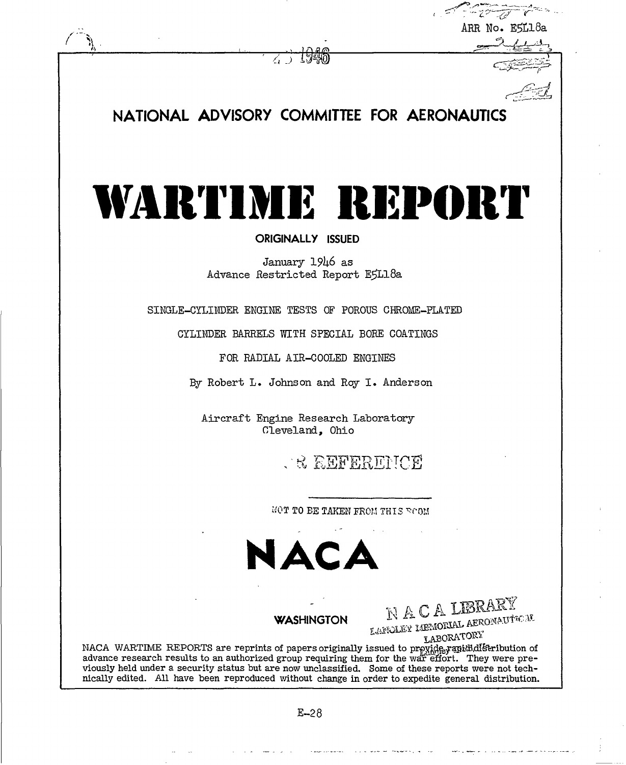| ARR No. E5L18a<br>NATIONAL ADVISORY COMMITTEE FOR AERONAUTICS<br>WARTIME REPORT<br><b>ORIGINALLY ISSUED</b><br>January 1946 as<br>Advance Restricted Report E5L18a<br>SINGLE-CYLINDER ENGINE TESTS OF POROUS CHROME-PLATED<br>CYLINDER BARRELS WITH SPECIAL BORE COATINGS<br>FOR RADIAL AIR-COOLED ENGINES<br>By Robert L. Johnson and Roy I. Anderson<br>Aircraft Engine Research Laboratory<br>Cleveland, Ohio<br><b>A REFERENCE</b><br>MOT TO BE TAKEN FROM THIS ROOM<br>NACA<br>NACALERARY<br>LANCIAEY MEMORIAL AEROMAUTICAL<br><b>WASHINGTON</b><br>LABORATORY<br>NACA WARTIME REPORTS are reprints of papers originally issued to provide rapid distribution of<br>advance research results to an authorized group requiring them for the war effort. They were pre-<br>viously held under a security status but are now unclassified. Some of these reports were not tech-<br>nically edited. All have been reproduced without change in order to expedite general distribution. | $\sqrt{1-\frac{1}{2}}$ |
|-----------------------------------------------------------------------------------------------------------------------------------------------------------------------------------------------------------------------------------------------------------------------------------------------------------------------------------------------------------------------------------------------------------------------------------------------------------------------------------------------------------------------------------------------------------------------------------------------------------------------------------------------------------------------------------------------------------------------------------------------------------------------------------------------------------------------------------------------------------------------------------------------------------------------------------------------------------------------------------------|------------------------|
|                                                                                                                                                                                                                                                                                                                                                                                                                                                                                                                                                                                                                                                                                                                                                                                                                                                                                                                                                                                         |                        |
|                                                                                                                                                                                                                                                                                                                                                                                                                                                                                                                                                                                                                                                                                                                                                                                                                                                                                                                                                                                         |                        |
|                                                                                                                                                                                                                                                                                                                                                                                                                                                                                                                                                                                                                                                                                                                                                                                                                                                                                                                                                                                         |                        |
|                                                                                                                                                                                                                                                                                                                                                                                                                                                                                                                                                                                                                                                                                                                                                                                                                                                                                                                                                                                         |                        |
|                                                                                                                                                                                                                                                                                                                                                                                                                                                                                                                                                                                                                                                                                                                                                                                                                                                                                                                                                                                         |                        |
|                                                                                                                                                                                                                                                                                                                                                                                                                                                                                                                                                                                                                                                                                                                                                                                                                                                                                                                                                                                         |                        |
|                                                                                                                                                                                                                                                                                                                                                                                                                                                                                                                                                                                                                                                                                                                                                                                                                                                                                                                                                                                         |                        |
|                                                                                                                                                                                                                                                                                                                                                                                                                                                                                                                                                                                                                                                                                                                                                                                                                                                                                                                                                                                         |                        |
|                                                                                                                                                                                                                                                                                                                                                                                                                                                                                                                                                                                                                                                                                                                                                                                                                                                                                                                                                                                         |                        |
|                                                                                                                                                                                                                                                                                                                                                                                                                                                                                                                                                                                                                                                                                                                                                                                                                                                                                                                                                                                         |                        |
|                                                                                                                                                                                                                                                                                                                                                                                                                                                                                                                                                                                                                                                                                                                                                                                                                                                                                                                                                                                         |                        |
|                                                                                                                                                                                                                                                                                                                                                                                                                                                                                                                                                                                                                                                                                                                                                                                                                                                                                                                                                                                         |                        |
|                                                                                                                                                                                                                                                                                                                                                                                                                                                                                                                                                                                                                                                                                                                                                                                                                                                                                                                                                                                         |                        |
|                                                                                                                                                                                                                                                                                                                                                                                                                                                                                                                                                                                                                                                                                                                                                                                                                                                                                                                                                                                         |                        |
|                                                                                                                                                                                                                                                                                                                                                                                                                                                                                                                                                                                                                                                                                                                                                                                                                                                                                                                                                                                         |                        |
|                                                                                                                                                                                                                                                                                                                                                                                                                                                                                                                                                                                                                                                                                                                                                                                                                                                                                                                                                                                         |                        |
|                                                                                                                                                                                                                                                                                                                                                                                                                                                                                                                                                                                                                                                                                                                                                                                                                                                                                                                                                                                         |                        |
|                                                                                                                                                                                                                                                                                                                                                                                                                                                                                                                                                                                                                                                                                                                                                                                                                                                                                                                                                                                         |                        |
|                                                                                                                                                                                                                                                                                                                                                                                                                                                                                                                                                                                                                                                                                                                                                                                                                                                                                                                                                                                         |                        |
|                                                                                                                                                                                                                                                                                                                                                                                                                                                                                                                                                                                                                                                                                                                                                                                                                                                                                                                                                                                         |                        |
|                                                                                                                                                                                                                                                                                                                                                                                                                                                                                                                                                                                                                                                                                                                                                                                                                                                                                                                                                                                         |                        |
|                                                                                                                                                                                                                                                                                                                                                                                                                                                                                                                                                                                                                                                                                                                                                                                                                                                                                                                                                                                         |                        |
|                                                                                                                                                                                                                                                                                                                                                                                                                                                                                                                                                                                                                                                                                                                                                                                                                                                                                                                                                                                         |                        |
|                                                                                                                                                                                                                                                                                                                                                                                                                                                                                                                                                                                                                                                                                                                                                                                                                                                                                                                                                                                         |                        |
|                                                                                                                                                                                                                                                                                                                                                                                                                                                                                                                                                                                                                                                                                                                                                                                                                                                                                                                                                                                         |                        |
|                                                                                                                                                                                                                                                                                                                                                                                                                                                                                                                                                                                                                                                                                                                                                                                                                                                                                                                                                                                         |                        |
|                                                                                                                                                                                                                                                                                                                                                                                                                                                                                                                                                                                                                                                                                                                                                                                                                                                                                                                                                                                         |                        |
|                                                                                                                                                                                                                                                                                                                                                                                                                                                                                                                                                                                                                                                                                                                                                                                                                                                                                                                                                                                         |                        |
|                                                                                                                                                                                                                                                                                                                                                                                                                                                                                                                                                                                                                                                                                                                                                                                                                                                                                                                                                                                         |                        |
|                                                                                                                                                                                                                                                                                                                                                                                                                                                                                                                                                                                                                                                                                                                                                                                                                                                                                                                                                                                         |                        |
| $E - 28$                                                                                                                                                                                                                                                                                                                                                                                                                                                                                                                                                                                                                                                                                                                                                                                                                                                                                                                                                                                |                        |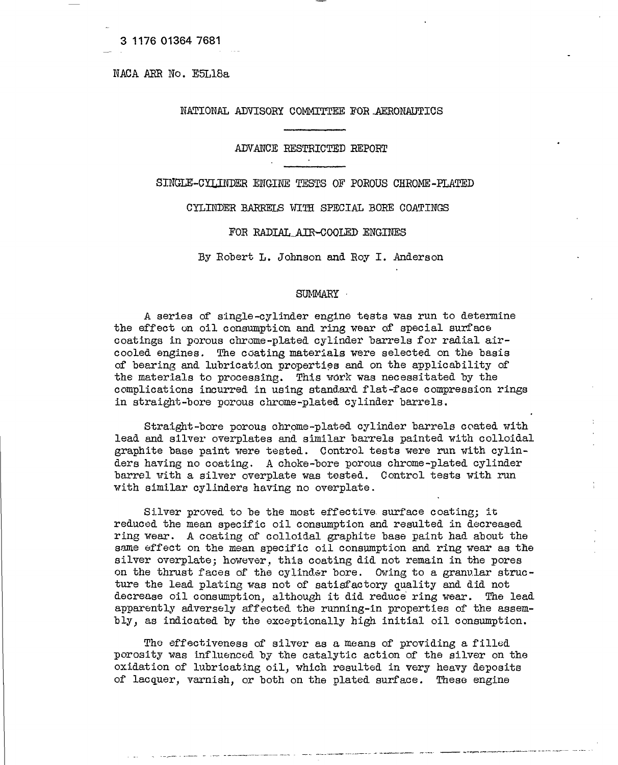NACA ARE No. E5L18a

## NATIONAL ADVISOEY COMMITTEE FOB .AERONAUTICS

#### ADVANCE RESTRICTED REPORT  $\sim$

SINGLE-CYLINDER ENGINE TESTS OF POROUS CHROME-PLATED

CYLINDER BARRELS WITH SPECIAL BORE COATINGS

#### FOR RADIAL AIR-COOLED ENGINES

By Robert L. Johnson and Roy I. Anderson

## SUMMARY **•**

A series of single-cylinder engine tests was run to determine the effect on oil consumption and ring wear of special surface coatings in porous chrome-plated cylinder barrels for radial aircooled engines. The coating materials were selected on the basis of bearing and lubrication properties and on the applicability of the materials to processing. This work was necessitated by the complications incurred in using standard flat-face compression rings in straight-bore porous chrome-plated cylinder barrels.

Straight-bore porous ohrome-plated cylinder barrels coated with lead and silver overplates and similar barrels painted with colloidal graphite base paint were tested. Control tests were run with cylinders having no coating. A choke-bore porous chrome-plated cylinder barrel with a silver overplate was tested. Control tests with run with similar cylinders having no overplate.

Silver proved to be the most effective, surface coating; it reduced the mean specific oil consumption and resulted in decreased ring wear. A coating of colloidal graphite base paint had about the same effect on the mean specific oil consumption and ring wear as the silver overplate; however, this coating did not remain in the pores on the thrust faces of the cylinder bore. Owing to a granular structure the lead plating was not of satisfactory quality and did not decrease oil consumption, although it did reduce ring wear. The lead apparently adversely affected the running-in properties of the assembly, as indicated by the exceptionally high initial oil consumption.

The effectiveness of silver as a means of providing a filled porosity was influenced by the catalytic action of the silver on the oxidation of lubricating oil, which resulted in very heavy deposits of lacquer, varnish, or both on the plated surface. These engine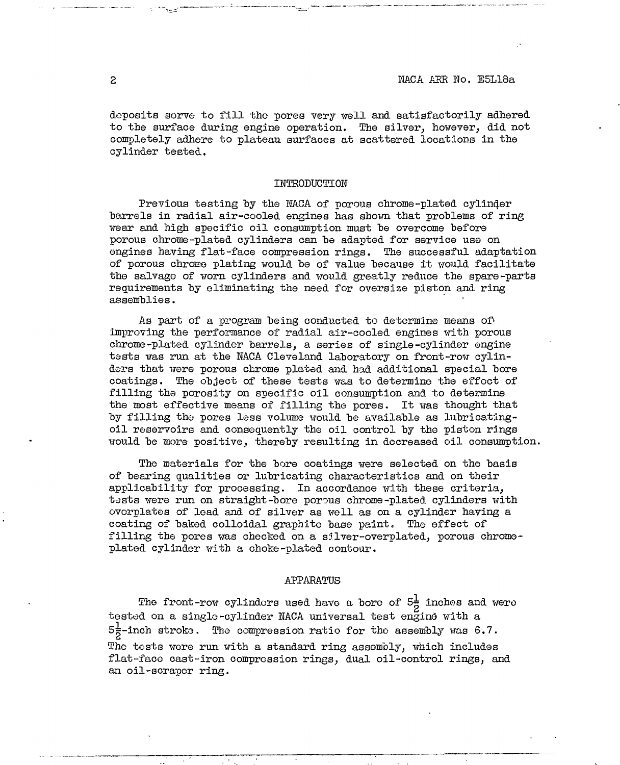deposits sorve to fill the pores very well and satisfactorily adhered to the surface during engine operation. The silver, however, did not completely adhere to plateau surfaces at scattered locations in the cylinder tested.

### INTRODUCTION

Previous testing by the NACA of porous chrome-plated cylinder barrels in radial air-cooled engines has shown that problems of ring wear and high specific oil consumption must he overcome before porous chrome-plated cylinders can be adapted for service use on engines having flat-face compression rings. The successful adaptation of porous chrome plating would be of value because it would facilitate the salvage of worn cylinders and would greatly reduce the spare-parts requirements by eliminating the need for oversize piston and ring assemblies.

As part of a program being conducted to determine means of» improving the performance of radial air-cooled engines with porous chrome-plated cylinder barrels, a series of single-cylinder engine tests was run at the KACA Cleveland laboratory on front-row cylinders that were porous chrome plated and had additional special bore coatings. The object of these tests was to determine the effect of filling the porosity on specific oil consumption and to determine the most effective means of filling the pores. It was thought that by filling the pores less volume would be available as lubricatingoil reservoirs and consequently the oil control by the piston rings would be more positive, thereby resulting in decreased oil consumption.

The materials for the bore coatings were selected on the basis of bearing qualities or lubricating characteristics and on their applicability for processing. In accordance with these criteria, tests were run on straight-bore porous chrome-plated cylinders with ovorplates of lead and of silver as well as on a cylinder having a coating of bated colloidal graphite base paint. The effect of filling the pores was checked on a silver-overplated, porous chromeplated cylinder with a choke-plated contour.

## APPARATUS

The front-row cylinders used have a bore of  $5\frac{1}{2}$  inches and were tested on a single-cylinder NACA universal test engine with a  $5\frac{1}{5}$ -inch stroke. The compression ratio for the assembly was 6.7. The tests were run with a standard ring assembly, which includes flat-face cast-iron compression rings, dual oil-control rings, and an oil-scraper ring.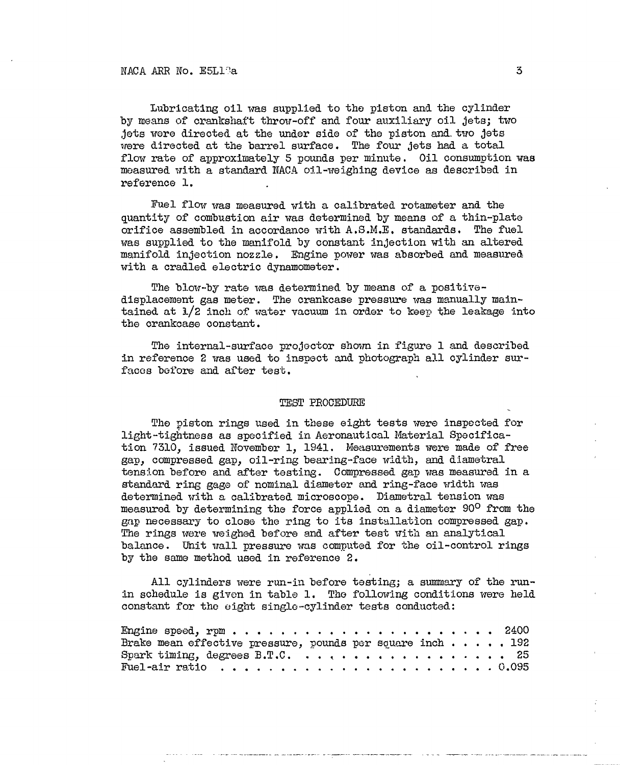Lubricating oil was supplied to the piston and the cylinder by means of crankshaft throw-off and four auxiliary oil *jets;* two jets were directed at the under side of the piston and. two jets were directed at the barrel surface. The four jets had a total flow rate of approximately 5 pounds per minute. Oil consumption was measured with a standard NACA oil-weighing device as described in reference 1.

Fuel flow was measured with a calibrated rotameter and the quantity of combustion air was determined by means of a thin-plate orifice assembled in accordance with A.S.M.E, standards. The fuel was supplied to the manifold by constant injection with an altered manifold injection nozzle. Engine power was absorbed and measured with a cradled electric dynamometer.

The blow-by rate was determined by means of a positivedisplacement gas meter. The crankcase pressure was manually maintained at l/2 inch of water vacuum in order to keep the leakage into the crankcase constant.

The internal-surface projector shown in figure 1 and described in reference 2 was used to inspect and photograph all cylinder surfaces before and after test.

#### TEST PROCEDURE

The piston rings used in these eight tests were inspected for light-tightness as specified in Aeronautical Material Specification 7310, issued November 1, 1941. Measurements were made of free gap, compressed gap, oil-ring bearing-face width, and diametral tension before and after testing. Compressed gap was measured in a standard ring gage of nominal diameter and ring-face width was determined with a calibrated microscope. Diametral tension was measured by determining the force applied on a diameter 90° from the gap necessary to close the ring to its installation compressed gap. The rings were weighed before and after test with an analytical balance. Unit wall pressure was computed for the oil-control rings by the same method used in reference 2.

All cylinders were run-in before testing; a summary of the runin schedule is given in table 1. The following conditions were held constant for the eight single-cylinder teats conducted:

| Brake mean effective pressure, pounds per square inch 192                       |  |  |  |
|---------------------------------------------------------------------------------|--|--|--|
|                                                                                 |  |  |  |
| Fuel-air ratio $\ldots \ldots \ldots \ldots \ldots \ldots \ldots \ldots \ldots$ |  |  |  |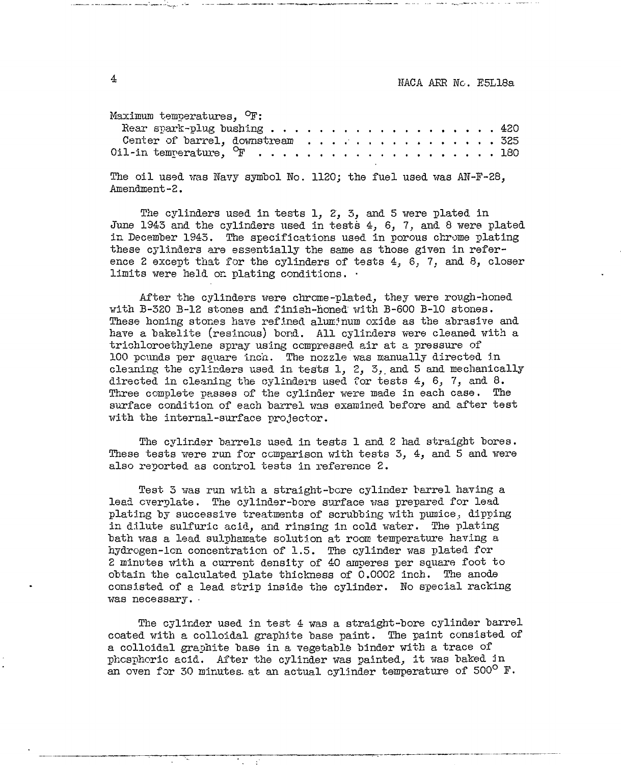Maximum temperaturea*,* °F:

| Rear spark-plug bushing 420      |  |  |  |  |  |  |  |  |  |
|----------------------------------|--|--|--|--|--|--|--|--|--|
| Center of barrel, downstream 325 |  |  |  |  |  |  |  |  |  |
|                                  |  |  |  |  |  |  |  |  |  |

The oil used was Navy symbol No. 1120; the fuel used was AN-F-28, Amendment-2.

The cylinders used in tests 1, 2, 3, and 5 were plated in June 1943 and the cylinders used in tests 4, 6, 7, and 8 were plated in December 1943. The specifications used in porous chrome plating these cylinders are essentially the same as those given in reference 2 except that for the cylinders of tests  $4, 6, 7,$  and  $8,$  closer limits were held on plating conditions. •

After the cylinders were chrome-plated, they were rough-honed with B-320 B-12 stones and finish-honed" with B-600 B-10 stones. These honing stones have refined aluminum oxide as the abrasive and have a bakelite (resinous) bond. All cylinders were cleaned with a trichloroethylene spray using compressed air at a pressure of 100 pounds per square inch. The nozzle was manually directed in cleaning the cylinders used in tests 1, 2, 5,, and 5 and mechanically directed in cleaning the cylinders used for tests 4, 6, 7, and 8. Three complete passes of the cylinder were made in each case. The surface condition of each barrel was examined before and after test with the internal-surface projector.

The cylinder barrels used in tests 1 and 2 had straight bores. These tests were run for comparison with tests 3, 4, and 5 and were also reported as control tests in reference 2.

Test 3 was run with a straight-bore cylinder barrel having a lead cverplate. The cylinder-bore surface was prepared for lead plating by successive treatments of scrubbing with pumice, dipping in dilute sulfuric acid, and rinsing in cold water. The plating bath was a lead sulphamate solution at room temperature having a hydrogen-ion concentration of 1.5. The cylinder was plated for 2 minutes with a current density of 40 amperes per square foot to obtain the calculated plate thickness of 0.0002 inch. The anode consisted of a lead strip inside the cylinder. No special racking was necessary. •

The cylinder used in test 4 was a straight-bore cylinder barrel coated with a colloidal graphite base paint. The paint consisted of a colloidal graphite base in a vegetable binder with a trace of phosphoric acid. After the cylinder was painted, it was baked *in* an oven for 30 minutes at an actual cylinder temperature of  $500^{\circ}$  F.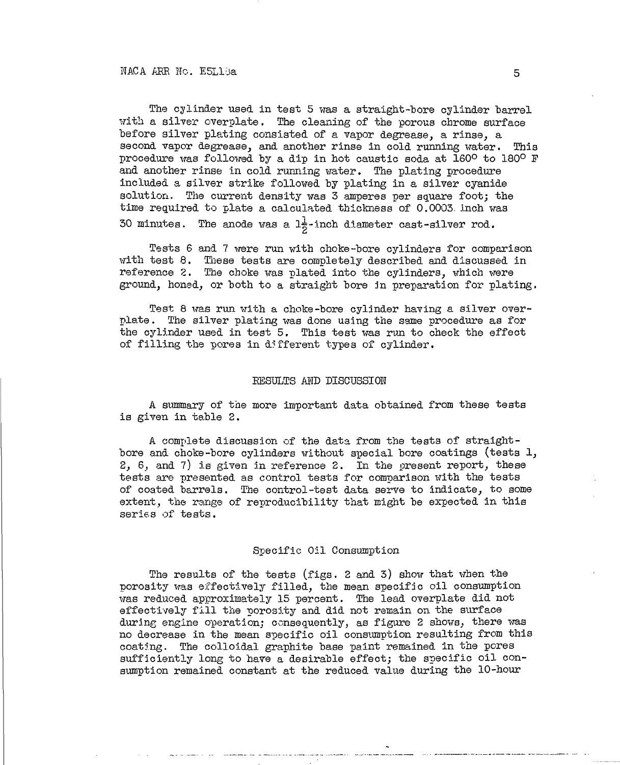The cylinder used in test 5 was a straight-bore cylinder barrel with a silver overplate. The cleaning of the porous chrome surface before silver plating consisted of a vapor degrease, a rinse, a second vapor degrease, and another rinse in cold running water. This procedure was followed by a dip in hot caustic soda at 160° to 180° F and another rinse in cold running water. The plating procedure included a silver strike followed by plating in a silver cyanide solution. The current density was 3 amperes per square foot; the time required to plate a calculated thickness of 0.0003. inch was 30 minutes. The anode was a  $1\frac{1}{2}$ -inch diameter cast-silver rod.

Tests 6 and 7 were run with choke-bore cylinders for comparison with test 8. These tests are completely described and discussed in reference 2. The choke was plated into the cylinders, which were ground, honed, or both to a straight bore in preparation for plating.

Test 8 was run with a choke-bore cylinder having a silver overplate . The silver plating was done using the same procedure as for the cylinder used in test 5. This test was run to check the effect of filling the pores in different types of cylinder.

### RESULTS AND DISCUSSION

A summary of the more important data obtained from these tests is given in table 2.

A complete discussion of the data from the tests of straightbore and choke-bore cylinders without special bore coatings (tests 1, 2, 6, and 7) is given in reference 2. In the present report, these tests are presented as control tests for comparison with the tests of coated barrels. The control-test data serve to indicate, to some extent, the range of reproducibility that might be expected in this series of tests.

## Specific Oil Consumption

The results of the tests (figs. 2 and 3) show that when the porosity was effectively filled, the mean specific oil consumption was reduced approximately 15 percent. The lead overplate did not effectively fill the porosity and did not remain on the surface during engine operation; consequently, as figure 2 shows, there was no decrease in the mean specific oil consumption resulting from this coating. The colloidal graphite base paint remained in the pores sufficiently long to have a desirable effect; the specific oil consumption remained constant at the reduced value during the 10-hour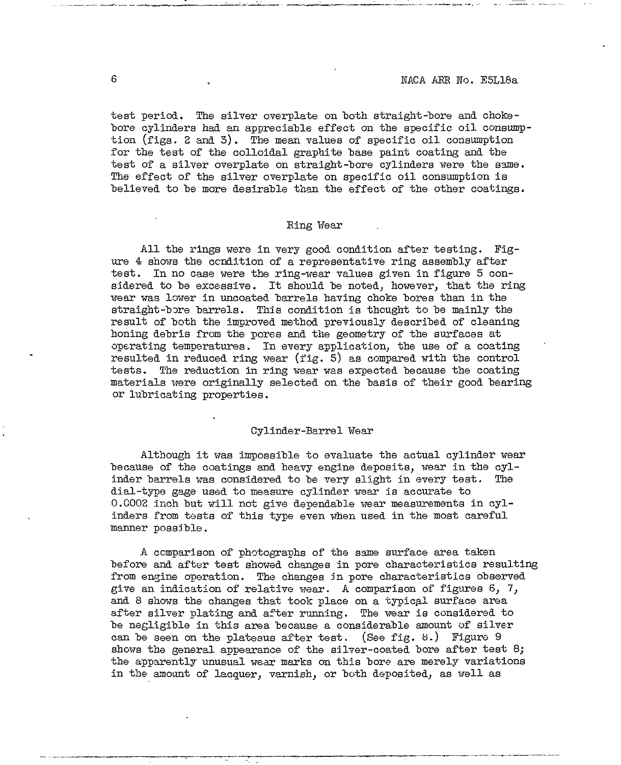test period. The silver overplate on both straight-bore and chokebore cylinders had an appreciable effect on the specific oil consumption (figs. 2 and 3). The mean values of specific oil consumption for the test of the colloidal graphite base paint coating and the test of a silver overplate on straight-bore cylinders were the same. The effect of the silver overplate on specific oil consumption is believed to be more desirable than the effect of the other coatings.

## Bing Wear

All the rings were in very good condition after testing. Figure 4 shows the condition of a representative ring assembly after test. In no case were the ring-wear values given in figure 5 considered to be excessive. It should be noted, however, that the ring wear was lower in uncoated barrels having choke bores than in the straight-bore barrels. This condition is thought to be mainly the result of both the improved method previously described of cleaning honing debris from the pores and the geometry of the surfaces at operating temperatures. In every application, the use of a coating resulted in reduced ring wear (fig. 5) as compared with the control tests. The reduction in ring wear was expected because the coating materials were originally selected on the basis of their good bearing or lubricating properties.

### Cylinder-Barrel Wear

Although it was impossible to evaluate the actual cylinder wear because of the coatings and heavy engine deposits, wear in the cylinder barrels was considered to be very slight in every test. The dial-type gage used to measure cylinder wear is accurate to 0.0002 inch but will not give dependable wear measurements in cylinders from tests of this type even when used in the most careful manner possible.

A comparison of photographs of the same surface area taken before and after test showed changes in pore characteristics resulting from engine operation. The changes in pore characteristics observed give an indication of relative wear. A comparison of figures 6, 7, and 8 shows the changes that took place on a typical surface area after silver plating and after running. The wear is considered to be negligible in this area because a considerable amount of silver can be seen on the plateaus after test. (See fig. 8.) Figure 9 shows the general appearance of the silver-coated bore after test 8; the apparently unusual wear marks on this bore are merely variations in the amount of lacquer, varnish, *or* both deposited, as well as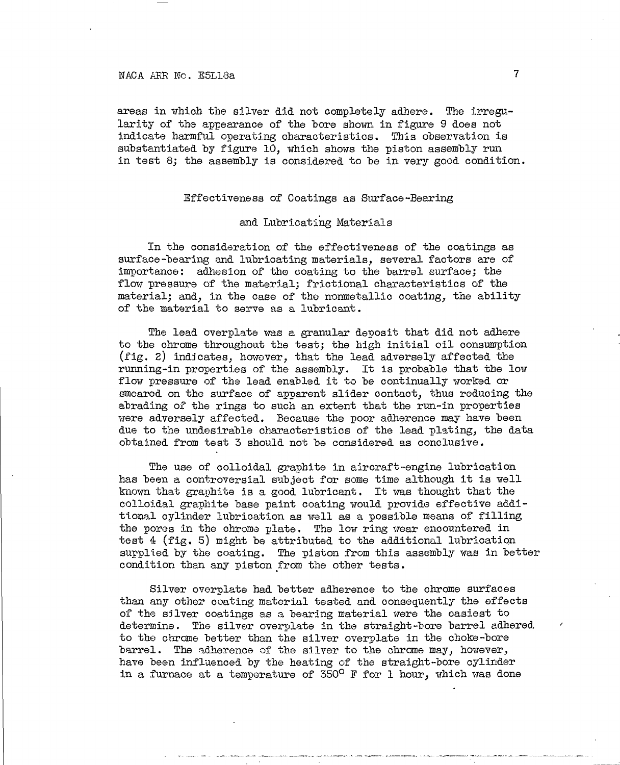## NACA ARR No. E5L13a

areas in which the silver did not completely adhere. The irregularity of the appearance of the bore shown in figure 9 does not indicate harmful operating characteristics. This observation is substantiated by figure 10, which shows the piston assembly run in test 8; the assembly is considered to be in very good condition.

## Effectiveness of Coatings as Surface-Bearing

## and Lubricating Materials

In the consideration of the effectiveness of the coatings as surface-bearing and lubricating materials, several factors are of importance: adhesion of the coating to the barrel surface; the flow pressure of the material; frictional characteristics of the material; and, in the case of the nonmetallic coating, the ability of the material to serve as a lubricant.

The lead overplate was a granular deposit that did not adhere to the chrome throughout the test; the high initial oil consumption (fig. 2) indicates, however, that the lead adversely affected the running-in properties of the assembly. It is probable that the low flow pressure of the lead enabled it to be continually worked or smeared on the surface of apparent slider contact, thus reducing the abrading of the rings to such an extent that the run-in properties were adversely affected. Because the poor adherence may have been due to the undesirable characteristies of the lead plating, the data obtained from test 3 should not be considered as conclusive.

The use of colloidal graphite in aircraft-engine lubrication has been a controversial subject for some time although it is well known that graphite is a good lubricant. It was thought that the colloidal graphite base paint coating would provide effective additional cylinder lubrication as well as a possible means of filling the pores in the chrome plate. The low ring wear encountered in test 4 (fig. 5) might be attributed to the additional lubrication supplied by the coating. The piston from this assembly was in better condition than any piston from the other tests.

Silver overplate had better adherence to the chrome surfaces than any other coating material tested and consequently the effects of the silver coatings as a bearing material were the easiest to determine. The silver overplate in the straight-bore barrel adhered to the chrome better than the silver overplate in the choke-bore barrel. The adherence of the silver to the chrome may, however, have been influenced by the heating of the straight-bore cylinder in a furnace at a temperature of  $350^{\circ}$  F for 1 hour, which was done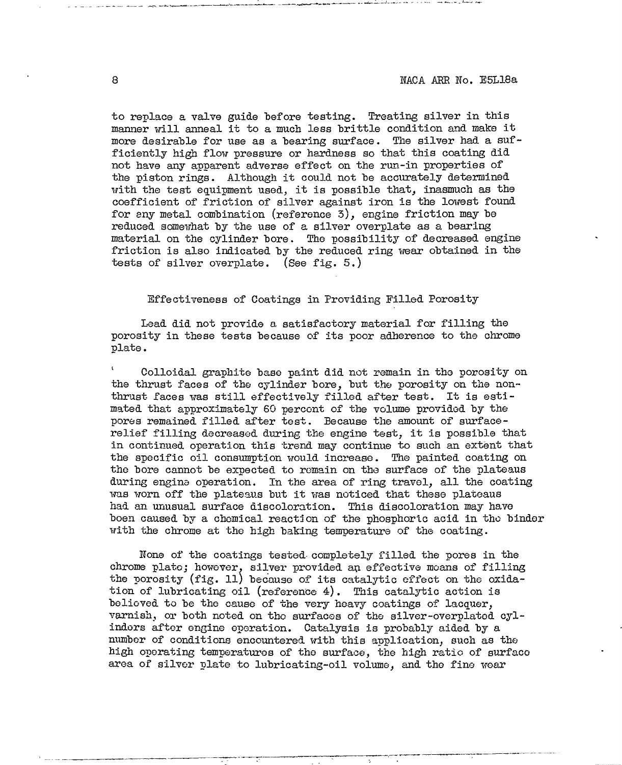to replace a valve guide before testing. Treating silver in this manner will anneal it to a much less brittle condition and make it more desirable for use as a bearing surface. The silver had a sufficiently high flow pressure or hardness so that this coating did not have any apparent adverse effect on the run-in properties of the piston rings. Although it could not be accurately determined with the test equipment used, it is possible that, inasmuch as the coefficient of friction of silver against iron is the lowest found for any metal combination (reference 3), engine friction may be reduced somewhat by the use of a silver overplate as a bearing material on the cylinder bore. The possibility of decreased engine friction is also indicated by the reduced ring wear obtained in the tests of silver overplate. (See fig. 5.)

### Effectiveness of Coatings in Providing Filled Porosity

Lead did not provide a satisfactory material for filling the porosity in these tests because of its poor adherence to the chrome plate.

<sup>1</sup> Colloidal graphite base paint did not remain in the porosity on the thrust faces of the cylinder bore, but the porosity on the nonthrust faces was still effectively filled after test. It is estimated that approximately 60 percent of the volume provided by the pores remained filled after test. Because the amount of surfacerelief filling decreased during the engine test, it is possible that in continued operation this trend may continue to such an extent that the specific oil consumption would increase. The painted coating on the bore cannot be expected to remain on the surface of the plateaus during engine operation. In the area of ring travol, all the coating was worn off the plateaus but it was noticed that these plateaus had an unusual surface discoloration. This discoloration may have boen caused by a chemical reaction of the phosphoric acid in the binder with the chrome at the high baking temperature of the coating.

None of the coatings tested- completely filled the pores in the chrome plato; however, silver provided an effective moans of filling the porosity (fig. 11) because of its catalytic effect on the oxidation of lubricating oil (reference 4). This catalytic action is believed to be the cause of the very heavy coatings of lacquer, varnish, or both noted on the surfaces of the silver-overplatod cylinders after engine operation. Catalysis is probably aided by a number of conditions encountered with this application, such as the high operating temperatures of the surface, the high ratio of surface area of silver plate to lubricating-oil volume, and the fine wear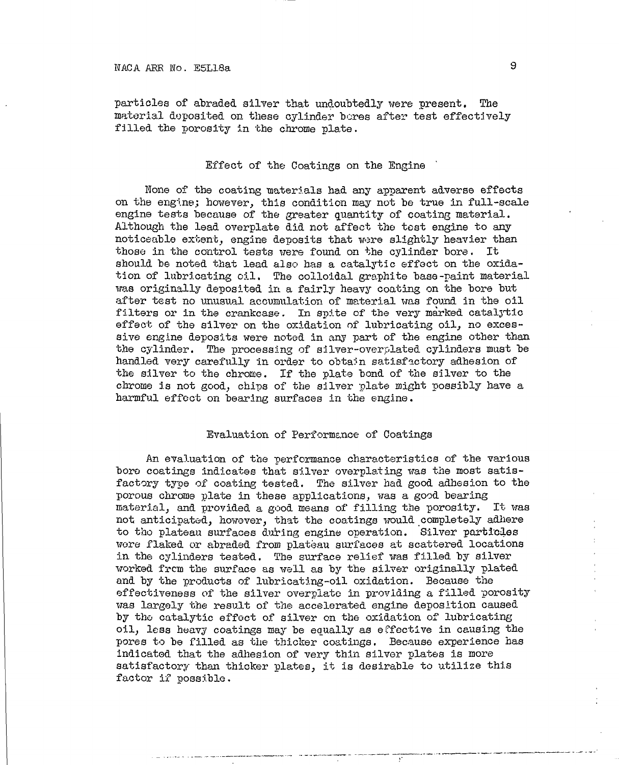particles of abraded silver that undoubtedly were present. The material deposited on these cylinder bores after test effectively filled the porosity in the chrome plate.

## Effect of the Coatings on the Engine

None of the coating materials had any apparent adverse effects on the engine; however, this condition may not be true in full-scale engine tests because of the greater quantity of coating material. Although the lead overplate did not affect the test engine to any noticeable extent, engine deposits that were slightly heavier than those in the control tests were found on the cylinder bore. It should be noted that lead also has a catalytic effect on the oxidation of lubricating oil. The colloidal graphite base-paint material was originally deposited in a fairly heavy coating on the bore but after test no unusual accumulation of material was found in the oil filters or in the crankcase. In spite of the very marked catalytic effect of the silver on the oxidation of lubricating oil, no excessive engine deposits were noted in any part of the engine other than the cylinder. The processing of silver-overplated cylinders must be handled very carefully in order to obtain satisfactory adhesion of the silver to the chrome. If the plate bond of the silver to the chrome is not good, chips of the silver plate might possibly have a harmful effect on bearing surfaces in the engine.

### Evaluation of Performance of Coatings

An evaluation of the performance characteristics of the various boro coatings indicates that silver overplating was the most satisfactory type of coating tested. The silver had good adhesion to the porous chrome plate in these applications, was a good bearing material, and provided a good means of filling the porosity. It was not anticipated, however, that the coatings would completely adhere to tho plateau surfaces during engine operation. Silver particles wore flaked or abraded from plateau surfaces at scattered locations in the cylinders tested. The surface relief was filled by silver worked from the surface as well as by the silver originally plated and by the products of lubricating-oil oxidation. Because the effectiveness of the silver overplate in providing a filled porosity was largely the result of the accelerated engine deposition caused by the catalytic effect of silver on the oxidation of lubricating oil, less heavy coatings may be equally as effective in causing the pores to be filled as the thicker coatings. Because experience has indicated that the adhesion of very thin silver plates is more satisfactory than thicker plates, it is desirable to utilize this factor if possible.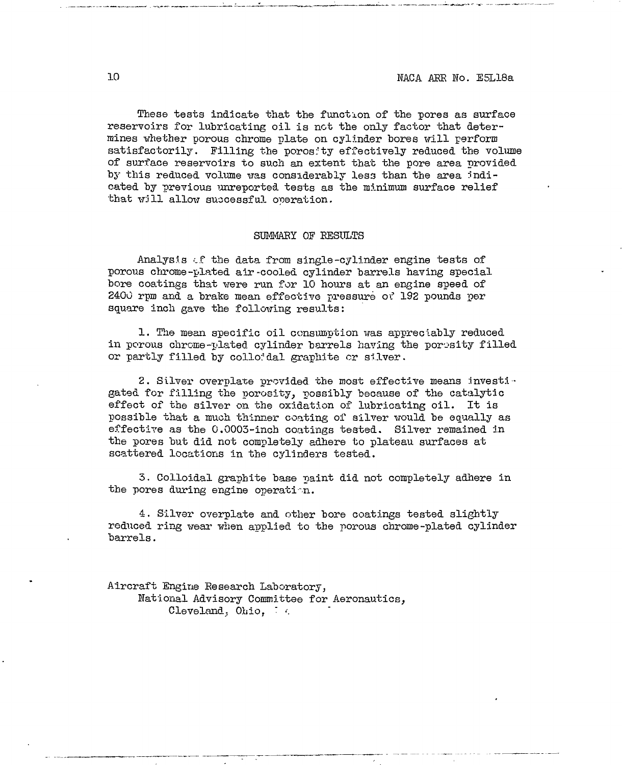These tests indicate that the function of the pores as surface reservoirs for lubricating oil is not the only factor that determines whether porous chrome plate on cylinder bores will perform satisfactorily. Filling the porosity effectively reduced the volume of surface reservoirs to such an extent that the pore area provided by this reduced volume was considerably less than the area indicated by previous unreported tests as the minimum surface relief that w:Ill allow successful operation.

### SUMMARY OF RESULTS

Analysis cf the data from single-cylinder engine tests of porous chrome-plated air-cooled cylinder barrels having special bore coatings that were run for 10 hours at an engine speed of 2400 rpm and a brate mean effective pressure <sup>01</sup>' 192 pounds per square inch gave the following results:

1. The mean specific oil consumption was appreciably reduced in porous chrome-plated cylinder barrels having the porosity filled or partly filled by collordal graphite or silver.

2. Silver overplate provided the most effective means investigated for filling the porosity, possibly because of the catalytic effect of the silver *on* the oxidation of lubricating oil. It is possible that a much thinner coating of silver would be equally as effective as the 0.0003-inch coatings tested. Silver remained in the pores but did not completely adhere to plateau surfaces at scattered locations in the cylinders tested.

5. Colloidal graphite base paint did not completely adhere in the pores during engine operation.

4. Silver overplate and other bore coatings tested slightly reduced ring wear when applied to the porous chrome-plated cylinder barrels.

Aircraft Engine Eesearch Laboratory, National Advisory Committee for Aeronautics, Cleveland, Ohio, 74.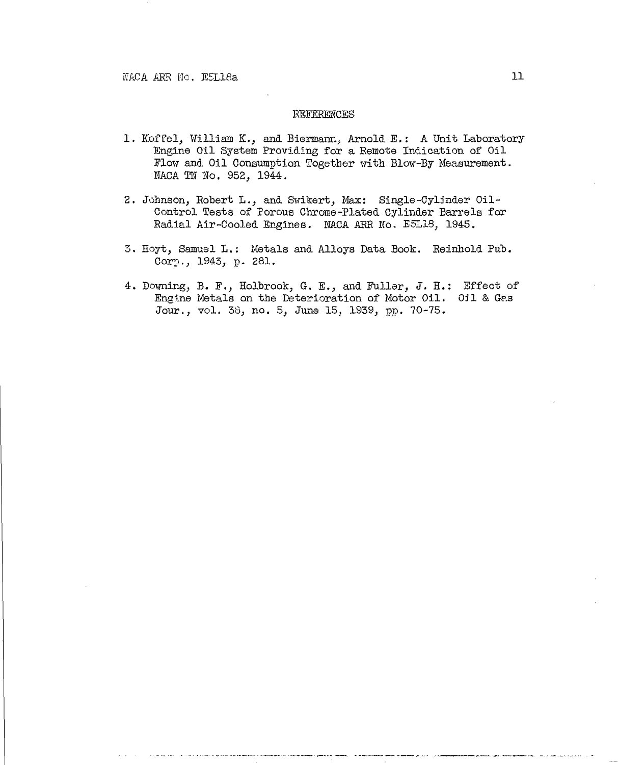## REFERENCES

- 1. Koffel, William K., and Biermann. Arnold E.: A Unit Laboratory Engine Oil System Providing for a Remote Indication of Oil Flow and Oil Consumption Together with Blow-By Measurement. NACA TN No. 952. 1944.
- 2. Johnson, Robert L., and Swikert, Max: Single-Cylinder Oil-Control Tests of Porous Chrome-Plated Cylinder Barrels for Radial Air-Cooled Engines. NACA ARR No. E5L18, 1945.
- 3. Hoyt, Samuel L.: Metals and Alloys Data Book. Reinhold Pub. Corp., 1943, p. 281.
- 4. Downing, B. F., Holbrook, G. E., and Fuller, J. H.: Effect of Engine Metals on the Deterioration of Motor Oil. Oil & Gas Jour., vol. 38, no. 5, June 15, 1939, pp. 70-75.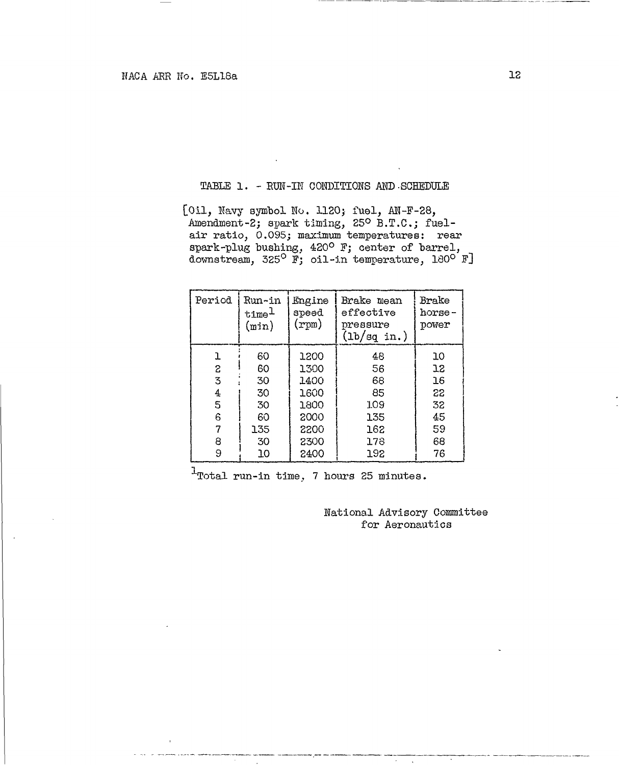## TABLE 1. - RUN-IN CONDITIONS AND .SCHEDULE

[Oil, Navy symbol No. 1120} fuel, AN-F-28, Amendment-2; spark timing, 25° B.T.C.; fuelair ratio, 0.095; maximum temperatures: rear spark-plug bushing, 420° F; center of barrel, downstream, 325° F; oil-in temperature, 180° F]

| Period | Run~in<br>time<br>(min) | Engine<br>speed<br>$(\texttt{rpm})$ | Brake mean<br>effective<br>pressure<br>(1b/sq in.) | Brake<br>horse-<br>power |
|--------|-------------------------|-------------------------------------|----------------------------------------------------|--------------------------|
| ı      | 60                      | 1200                                | 48                                                 | 10                       |
| S      | 60                      | 1300                                | 56                                                 | 12                       |
| 3      | 30                      | 1400                                | 68                                                 | 16                       |
| 4      | 30                      | 1600                                | 85                                                 | 22                       |
| 5      | 30                      | 1800                                | 109                                                | 32                       |
| 6      | 60                      | 2000                                | 135                                                | 45                       |
|        | 135                     | 2200                                | 162                                                | 59                       |
| 8      | 30                      | 2300                                | 178                                                | 68                       |
| 9      | 10                      | 2400                                | 192                                                | 76                       |

 $1$ Total run-in time, 7 hours 25 minutes.

National Advisory Committee for Aeronautics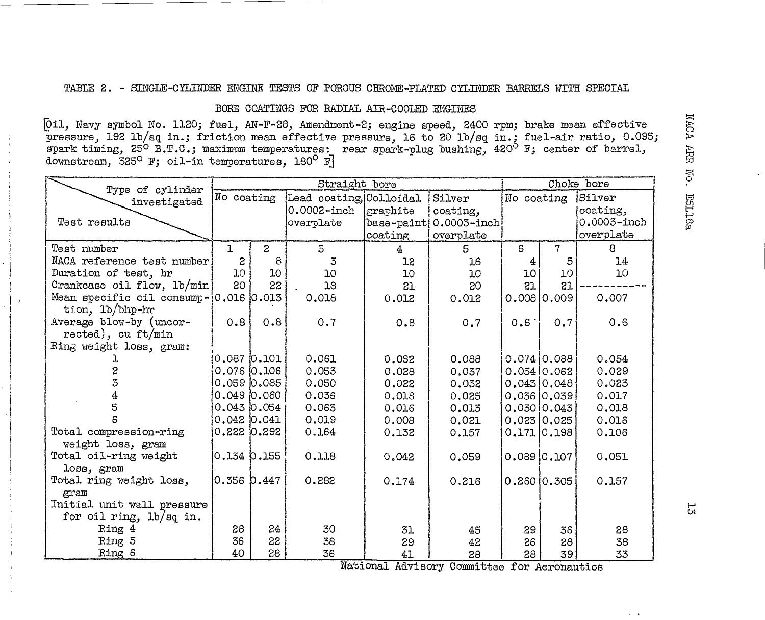# TABLE 2. - SINGLE-CYLINDER ENGINE TESTS OF POROUS CHROME-PLATED CYLINDER BARRELS WITH SPECIAL

# BORE COATINGS FOR RADIAL AIR-COOLED ENGINES

{Oil, Navy symbol No. 1120; fuel, AN-F-28, Amendment-2; engine speed, 2400 rpm; brake mean effective pressure, 192 Ib/sq in.; friction mean effective pressure, 16 to 20 lb/sq. in.; fuel-air ratio, 0.095; spark timing, 25° B.T.C.; maximum temperatures: rear spark-plug "bushing, 420° F; center of barrel, downstream, 525° F; oil-in temperatures, 180° F]

| Type of cylinder                          | Straight bore    |                 |                         |            |                 |              | Choke bore           |                 |  |  |  |
|-------------------------------------------|------------------|-----------------|-------------------------|------------|-----------------|--------------|----------------------|-----------------|--|--|--|
| investigated                              | No coating       |                 | Lead coating, Colloidal |            | Silver          |              | No coating<br>Silver |                 |  |  |  |
|                                           |                  |                 | $0.0002$ -inch          | graphite   | coating,        |              |                      | coating,        |  |  |  |
| Test results                              |                  |                 | overplate               | base-paint | $0.0003 - inch$ |              |                      | $0.0003 - inch$ |  |  |  |
|                                           |                  |                 |                         | coating    | overplate       |              |                      | overplate       |  |  |  |
| Test number                               |                  | $\mathbf{Z}$    | $\overline{5}$          | 4.         | 5.              | $\mathbf{g}$ | 7                    | 8               |  |  |  |
| NACA reference test number                | 2                | 8               | 3                       | 12         | 16              |              | 5                    | 14              |  |  |  |
| Duration of test, hr                      | 10 <sub>o</sub>  | 10              | 10                      | 10         | 10 <sub>1</sub> | 10           | 10                   | 10              |  |  |  |
| Crankcase oil flow, lb/min                | 20               | 22              | 18                      | 21         | 20              | 21           | 21                   |                 |  |  |  |
| Mean specific oil consump- $ 0.016 0.013$ |                  |                 | 0.018                   | 0.012      | 0.012           |              | 0.0080.009           | 0,007           |  |  |  |
| tion, 1b/bhp-hr                           |                  |                 |                         |            |                 |              |                      |                 |  |  |  |
| Average blow-by (uncor-                   | 0.8              | 0.8             | 0.7                     | 0.8        | 0.7             | 0.6          | 0.7                  | 0.6             |  |  |  |
| rected), cu ft/min                        |                  |                 |                         |            |                 |              |                      |                 |  |  |  |
| Ring weight loss, gram:                   |                  |                 |                         |            |                 |              |                      |                 |  |  |  |
|                                           | $0.087$ $0.101$  |                 | 0.061                   | 0.082      | 0.088           |              | 0.07410.088          | 0.054           |  |  |  |
|                                           | $0.076$ $ 0.106$ |                 | 0.053                   | 0.028      | 0.037           |              | 0.05410.062          | 0.029           |  |  |  |
| 3                                         | 0.05900.085      |                 | 0.050                   | 0.022      | 0.032           |              | 0.043 0.048          | 0.023           |  |  |  |
|                                           |                  | $0.049$ $0.060$ | 0,036                   | 0.018      | 0,025           |              | 0.036 0.039          | 0.017           |  |  |  |
|                                           |                  | $0.043$ $0.054$ | 0.063                   | 0.016      | 0.013           |              | 0.030 0.043          | 0.018           |  |  |  |
|                                           | $0.042$ $0.041$  |                 | 0.019                   | 0.008      | 0.021           |              | 0.023 0.025          | 0.016           |  |  |  |
| Total compression-ring                    | 0.22210.292      |                 | 0.164                   | 0.132      | 0.157           |              | $0.171$ $0.198$      | 0.106           |  |  |  |
| weight loss, gram                         |                  |                 |                         |            |                 |              |                      |                 |  |  |  |
| Total oil-ring weight                     | O.134 O.155      |                 | 0.118                   | 0.042      | 0.059           |              | $0.089$ $0.107$      | 0.051           |  |  |  |
| loss, gram                                |                  |                 |                         |            |                 |              |                      |                 |  |  |  |
| Total ring weight loss,                   | l0.356 b.447     |                 | 0.282                   | 0.174      | 0.216           |              | $0.260$ $0.305$      | 0.157           |  |  |  |
| gram                                      |                  |                 |                         |            |                 |              |                      |                 |  |  |  |
| Initial unit wall pressure                |                  |                 |                         |            |                 |              |                      |                 |  |  |  |
| for oil ring, lb/sq in.                   |                  |                 |                         |            |                 |              |                      |                 |  |  |  |
| Ring 4                                    | 28               | 24              | 30                      | 31         | 45              | 29           | 36                   | 28              |  |  |  |
| Ring 5                                    | 36               | 22              | 38                      | 29         | 42              | 26           | 28                   | 38              |  |  |  |
| Ring 6                                    | 40               | 28              | 36                      | 41         | 28              | 28           | 39                   | 33              |  |  |  |

National Advisory Committee for Aeronautics

 $52$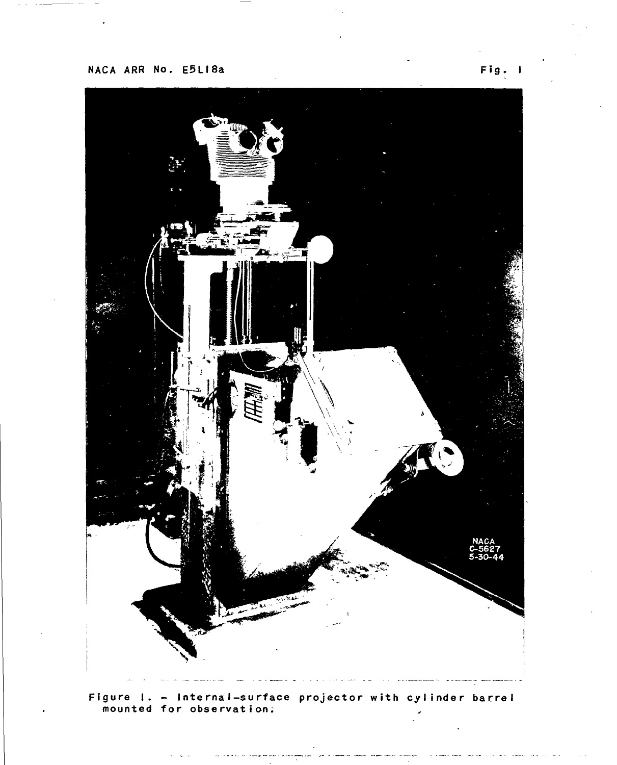

**Figure I. - Internal-surface projector with cylinder barrel mounted for observation;**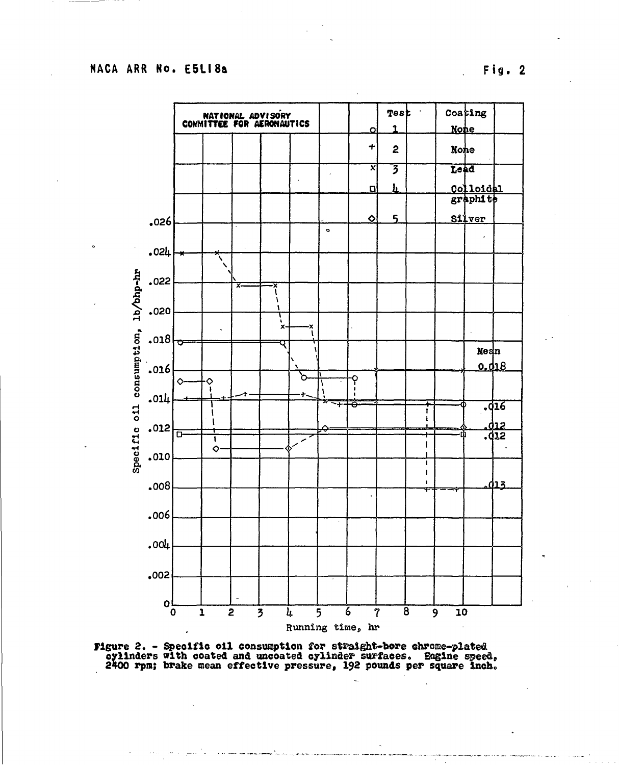Fig. 2



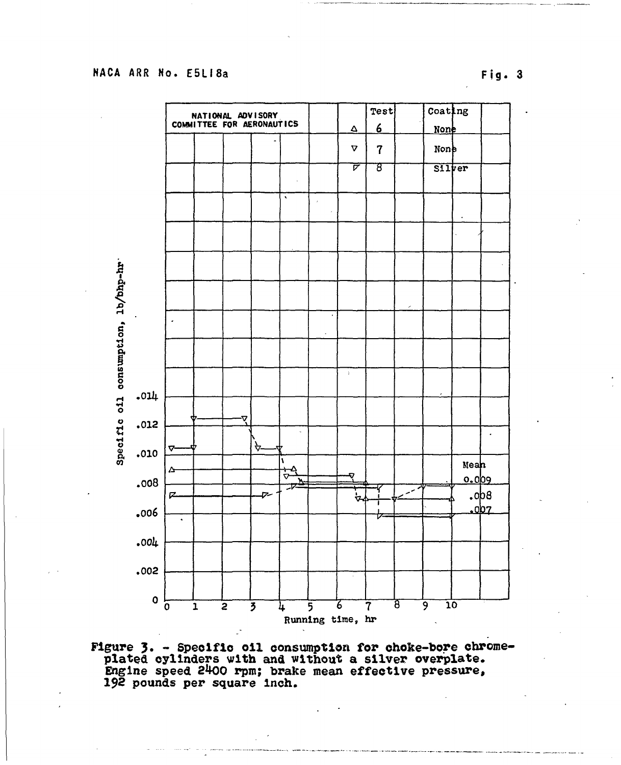Fig. 3



Figure 3. - Specific oil consumption for choke-bore chrome-<br>plated cylinders with and without a silver overplate.<br>Engine speed 2400 rpm; brake mean effective pressure,<br>192 pounds per square inch.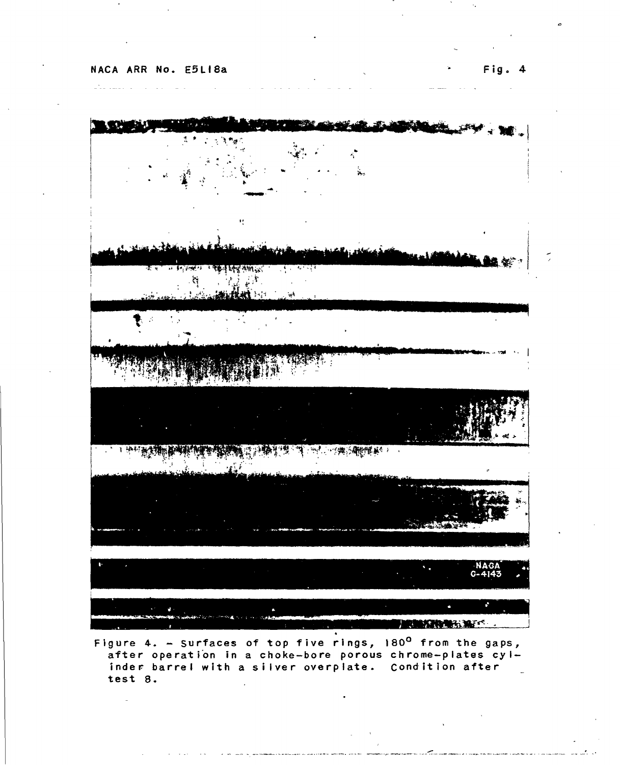$\omega^*$  in the matrix  $\omega$ 



Figure 4. - Surfaces of top five rings, 180<sup>0</sup> from the gaps,<br>after operation in a choke-bore porous chrome-plates cylafter operation in a choke-bore porous chrome-plates cylinder barrel with <sup>a</sup> silver overplate. Condition after test 8.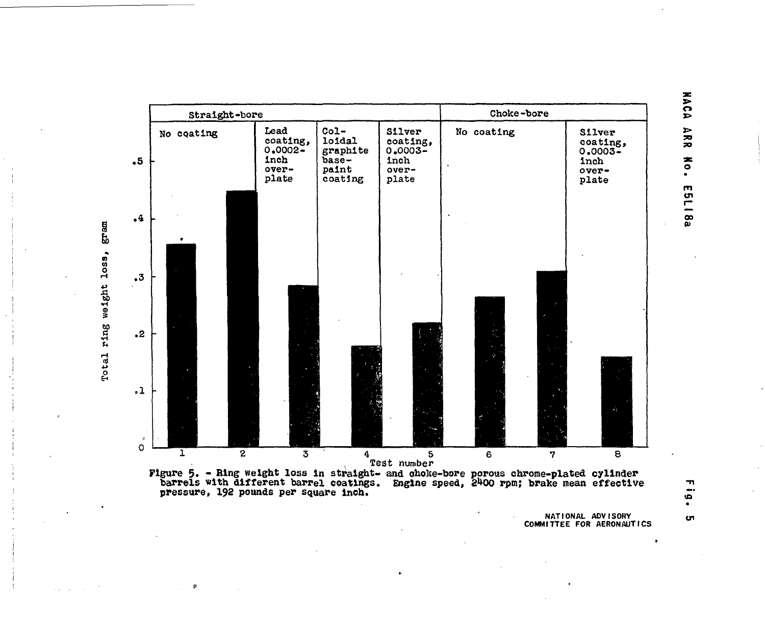



**NATIONAL ADVISORY COMMITTEE FOR AERONAUTICS**

**NACA ARR**  $\sum_{i=1}^{n}$ **m**

**o>**

w o **\*3 'S»** <D **a**

o

 $\pmb{\rho}$ 

m. - $\bullet$ 

**Oi**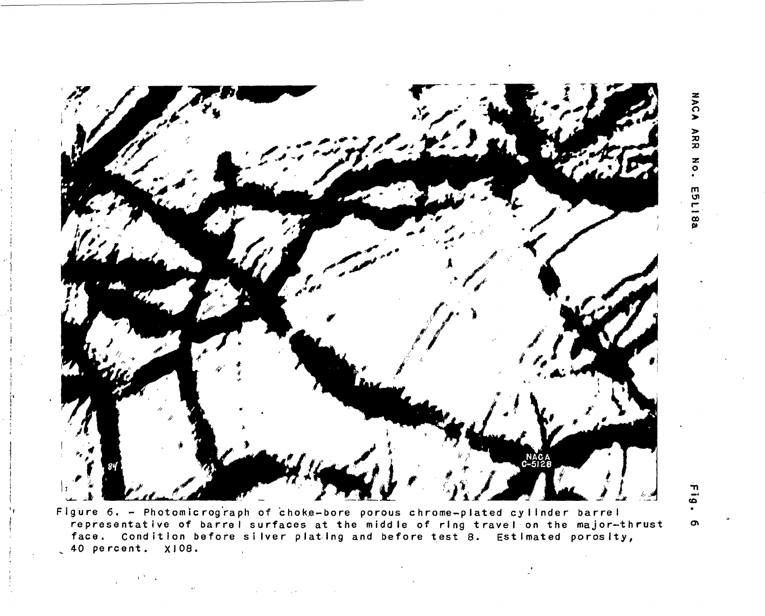

Figure 6. - Photomicrograph of choke-bore porous chrome-plated cylinder barrel representative of barrel surfaces at the middle of ring travel on the major-thrust face. Condition before silver plating and before test 8. Estimated porosity,  $\sqrt{40}$  percent.  $x108$ .

 $A$  ,  $\Delta$  ,  $\Delta$ 

**NACA** ARR NO. E5L 88

'n  $\bar{\mathbf{o}}$ 

 $\sigma$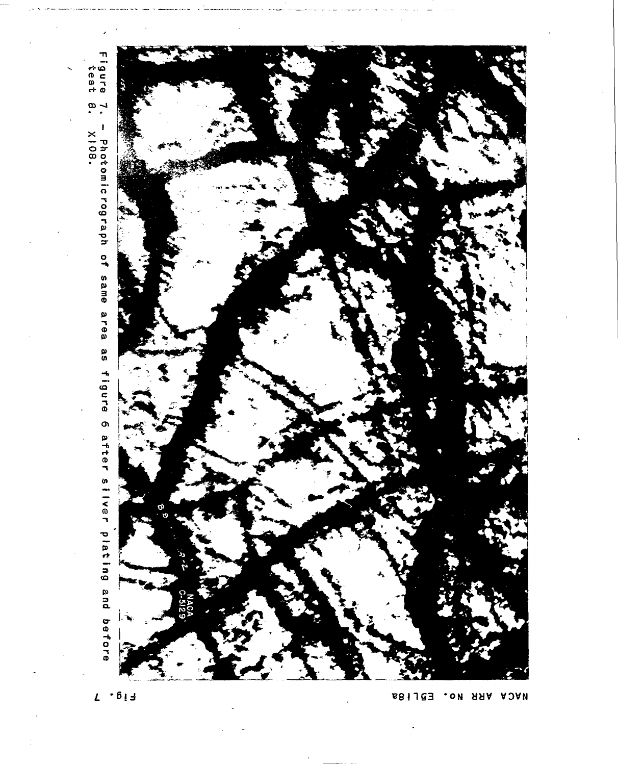

 $L = 6 + 3$ 

NACA ARR No. E5LI8a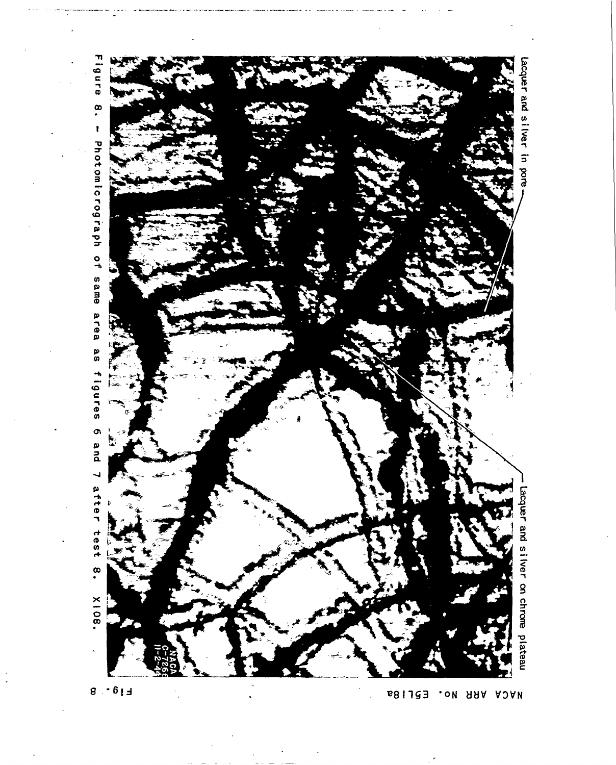

NACA ARR No. E5LI8a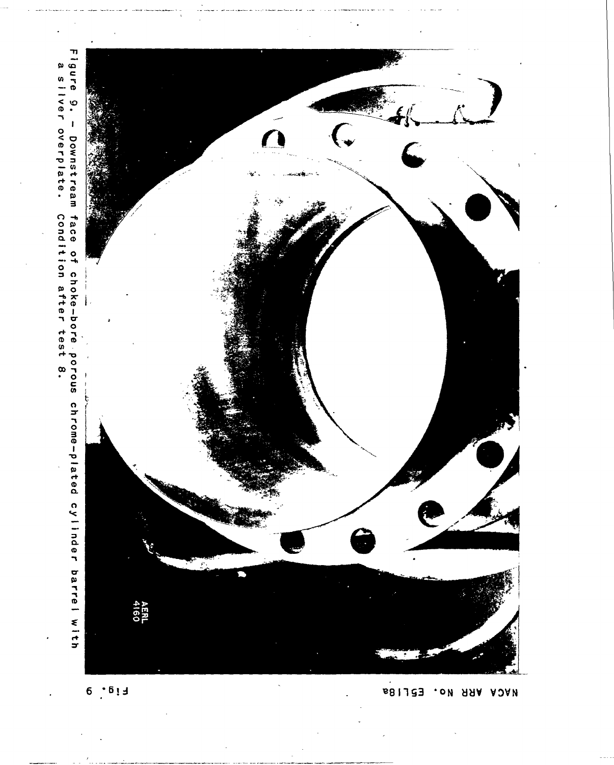

 $6 \t . 613$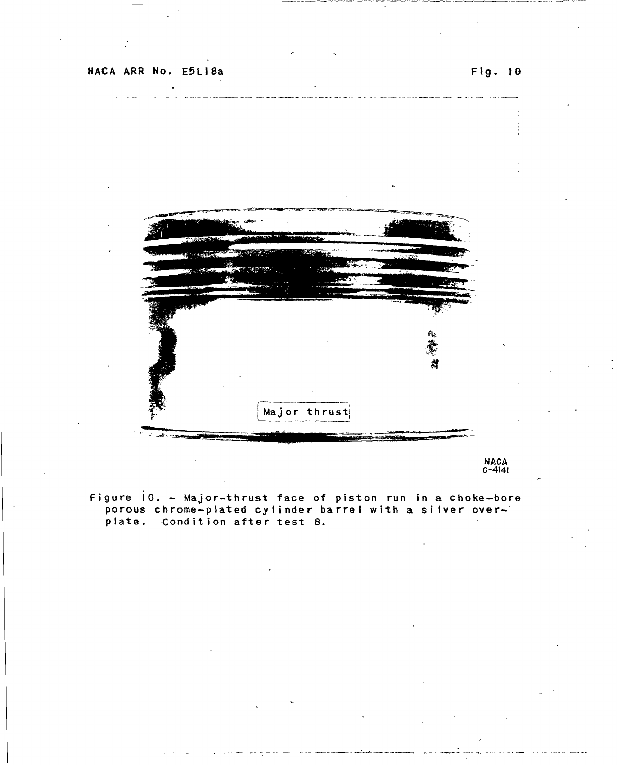

NACA C-4I4I

Figure  $10.$  - Major-thrust face of piston run in a choke-bore porous chrome-plated cylinder barrel with <sup>a</sup> silver overporous enrome-praced cyrringer is<br>plate. Condition after test 8.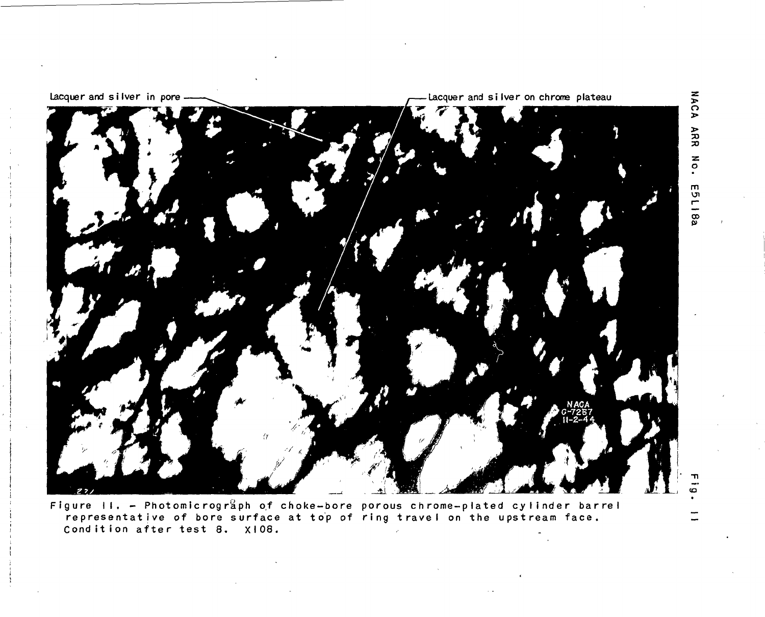

Figure II. - Photomicrograph of choke-bore porous chrome-plated cylinder barrel representative of bore surface at top of ring travel on the upstream face. Condition after test 8. X108.

**NACA** ARR  $\sum_{\sigma}$ E5L18a